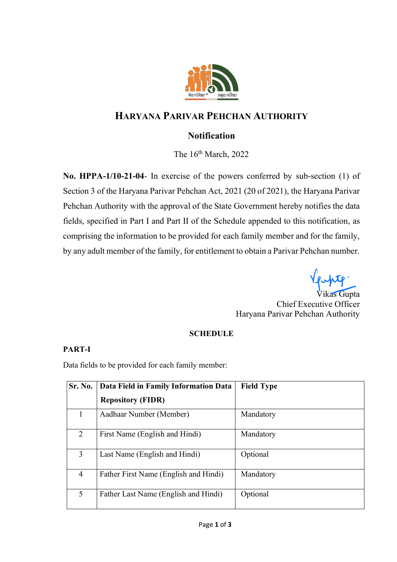

# **HARYANA PARIVAR PEHCHAN AUTHORITY**

## **Notification**

The  $16<sup>th</sup> March, 2022$ 

**No. HPPA-1/10-21-04**- In exercise of the powers conferred by sub-section (1) of Section 3 of the Haryana Parivar Pehchan Act, 2021 (20 of 2021), the Haryana Parivar Pehchan Authority with the approval of the State Government hereby notifies the data fields, specified in Part I and Part II of the Schedule appended to this notification, as comprising the information to be provided for each family member and for the family, by any adult member of the family, for entitlement to obtain a Parivar Pehchan number.

lente.

Vikas Gupta Chief Executive Officer Haryana Parivar Pehchan Authority

#### **SCHEDULE**

#### **PART-I**

Data fields to be provided for each family member:

| Sr. No.        | Data Field in Family Information Data | <b>Field Type</b> |
|----------------|---------------------------------------|-------------------|
|                | <b>Repository (FIDR)</b>              |                   |
| 1              | Aadhaar Number (Member)               | Mandatory         |
| $\overline{2}$ | First Name (English and Hindi)        | Mandatory         |
| 3              | Last Name (English and Hindi)         | Optional          |
| 4              | Father First Name (English and Hindi) | Mandatory         |
| 5              | Father Last Name (English and Hindi)  | Optional          |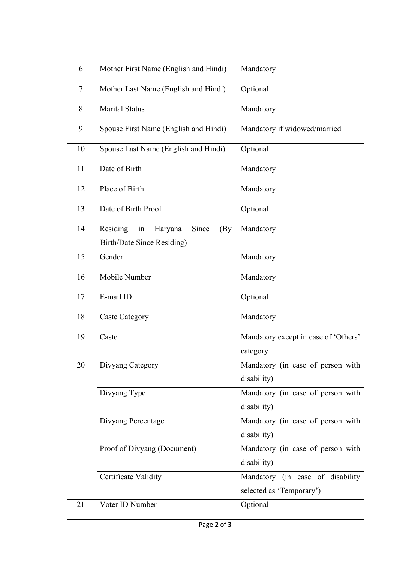| 6              | Mother First Name (English and Hindi)      | Mandatory                            |
|----------------|--------------------------------------------|--------------------------------------|
| $\overline{7}$ | Mother Last Name (English and Hindi)       | Optional                             |
| 8              | <b>Marital Status</b>                      | Mandatory                            |
| 9              | Spouse First Name (English and Hindi)      | Mandatory if widowed/married         |
| 10             | Spouse Last Name (English and Hindi)       | Optional                             |
| 11             | Date of Birth                              | Mandatory                            |
| 12             | Place of Birth                             | Mandatory                            |
| 13             | Date of Birth Proof                        | Optional                             |
| 14             | Residing<br>Since<br>in<br>Haryana<br>(By) | Mandatory                            |
|                | <b>Birth/Date Since Residing)</b>          |                                      |
| 15             | Gender                                     | Mandatory                            |
| 16             | Mobile Number                              | Mandatory                            |
| 17             | E-mail ID                                  | Optional                             |
| 18             | <b>Caste Category</b>                      | Mandatory                            |
| 19             | Caste                                      | Mandatory except in case of 'Others' |
|                |                                            | category                             |
| 20             | Divyang Category                           | Mandatory (in case of person with    |
|                |                                            | disability)                          |
|                | Divyang Type                               | Mandatory (in case of person with    |
|                |                                            | disability)                          |
|                | Divyang Percentage                         | Mandatory (in case of person with    |
|                |                                            | disability)                          |
|                | Proof of Divyang (Document)                | Mandatory (in case of person with    |
|                |                                            | disability)                          |
|                | Certificate Validity                       | Mandatory (in case of disability     |
|                |                                            | selected as 'Temporary')             |
| 21             | Voter ID Number                            | Optional                             |